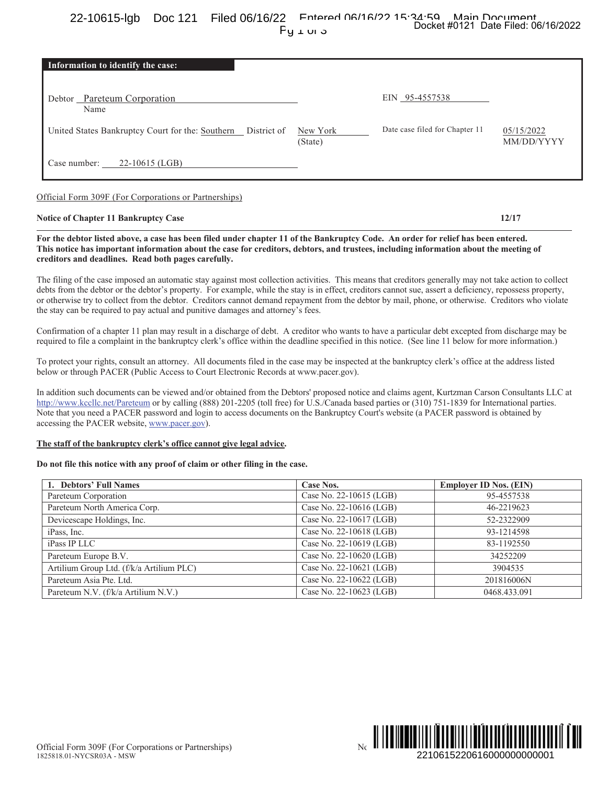Entered 06/16/22 15:34:50 Main Document 22-10615-lgb Doc 121 Filed 06/16/22 Docket #0121 Date Filed: 06/16/2022  $Fu<sub>1</sub>u<sub>o</sub>$ 

| Information to identify the case:                            |                     |                                |                          |
|--------------------------------------------------------------|---------------------|--------------------------------|--------------------------|
| Debtor Pareteum Corporation<br>Name                          |                     | EIN 95-4557538                 |                          |
| United States Bankruptcy Court for the: Southern District of | New York<br>(State) | Date case filed for Chapter 11 | 05/15/2022<br>MM/DD/YYYY |
| $22-10615$ (LGB)<br>Case number:                             |                     |                                |                          |

Official Form 309F (For Corporations or Partnerships)

# **Notice of Chapter 11 Bankruptcy Case**

 $12/17$ 

For the debtor listed above, a case has been filed under chapter 11 of the Bankruptcy Code. An order for relief has been entered. This notice has important information about the case for creditors, debtors, and trustees, including information about the meeting of creditors and deadlines. Read both pages carefully.

The filing of the case imposed an automatic stay against most collection activities. This means that creditors generally may not take action to collect debts from the debtor or the debtor's property. For example, while the stay is in effect, creditors cannot sue, assert a deficiency, repossess property, or otherwise try to collect from the debtor. Creditors cannot demand repayment from the debtor by mail, phone, or otherwise. Creditors who violate the stay can be required to pay actual and punitive damages and attorney's fees.

Confirmation of a chapter 11 plan may result in a discharge of debt. A creditor who wants to have a particular debt excepted from discharge may be required to file a complaint in the bankruptcy clerk's office within the deadline specified in this notice. (See line 11 below for more information.)

To protect your rights, consult an attorney. All documents filed in the case may be inspected at the bankruptcy clerk's office at the address listed below or through PACER (Public Access to Court Electronic Records at www.pacer.gov).

In addition such documents can be viewed and/or obtained from the Debtors' proposed notice and claims agent, Kurtzman Carson Consultants LLC at http://www.kccllc.net/Pareteum or by calling (888) 201-2205 (toll free) for U.S./Canada based parties or (310) 751-1839 for International parties. Note that you need a PACER password and login to access documents on the Bankruptcy Court's website (a PACER password is obtained by accessing the PACER website, www.pacer.gov).

## The staff of the bankruptcy clerk's office cannot give legal advice.

### Do not file this notice with any proof of claim or other filing in the case.

| 1. Debtors' Full Names                   | Case Nos.               | <b>Employer ID Nos. (EIN)</b> |
|------------------------------------------|-------------------------|-------------------------------|
| Pareteum Corporation                     | Case No. 22-10615 (LGB) | 95-4557538                    |
| Pareteum North America Corp.             | Case No. 22-10616 (LGB) | 46-2219623                    |
| Devicescape Holdings, Inc.               | Case No. 22-10617 (LGB) | 52-2322909                    |
| iPass, Inc.                              | Case No. 22-10618 (LGB) | 93-1214598                    |
| iPass IP LLC                             | Case No. 22-10619 (LGB) | 83-1192550                    |
| Pareteum Europe B.V.                     | Case No. 22-10620 (LGB) | 34252209                      |
| Artilium Group Ltd. (f/k/a Artilium PLC) | Case No. 22-10621 (LGB) | 3904535                       |
| Pareteum Asia Pte. Ltd.                  | Case No. 22-10622 (LGB) | 201816006N                    |
| Pareteum N.V. (f/k/a Artilium N.V.)      | Case No. 22-10623 (LGB) | 0468.433.091                  |

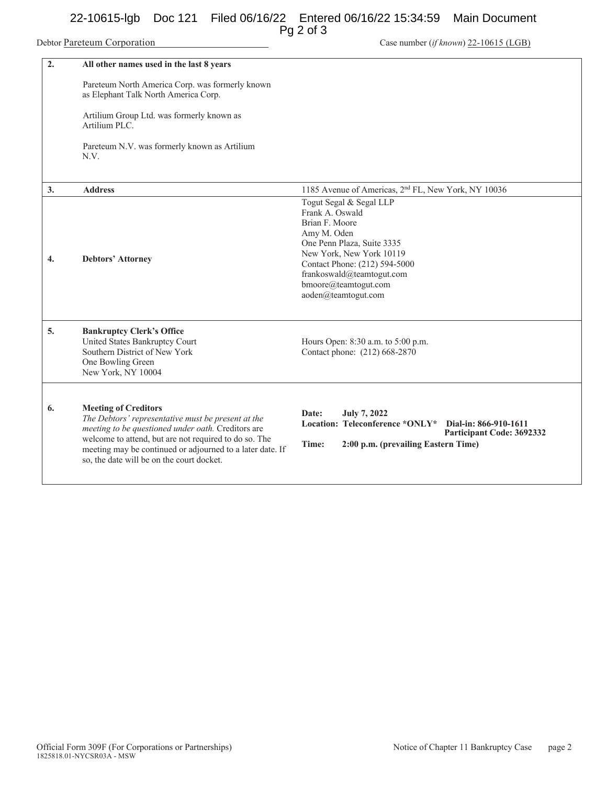# 22-10615-lgb Doc 121 Filed 06/16/22 Entered 06/16/22 15:34:59 Main Document

Pg 2 of 3

Case number (if known) 22-10615 (LGB)

| $\overline{2}$ . | All other names used in the last 8 years                                                                                                                                                                                                                                                                   |                                                                                                                                                                                                                                                    |
|------------------|------------------------------------------------------------------------------------------------------------------------------------------------------------------------------------------------------------------------------------------------------------------------------------------------------------|----------------------------------------------------------------------------------------------------------------------------------------------------------------------------------------------------------------------------------------------------|
|                  | Pareteum North America Corp. was formerly known<br>as Elephant Talk North America Corp.<br>Artilium Group Ltd. was formerly known as<br>Artilium PLC.<br>Pareteum N.V. was formerly known as Artilium<br>N.V.                                                                                              |                                                                                                                                                                                                                                                    |
| 3.               | <b>Address</b>                                                                                                                                                                                                                                                                                             | 1185 Avenue of Americas, 2 <sup>nd</sup> FL, New York, NY 10036                                                                                                                                                                                    |
| 4.               | <b>Debtors' Attorney</b>                                                                                                                                                                                                                                                                                   | Togut Segal & Segal LLP<br>Frank A. Oswald<br>Brian F. Moore<br>Amy M. Oden<br>One Penn Plaza, Suite 3335<br>New York, New York 10119<br>Contact Phone: (212) 594-5000<br>frankoswald@teamtogut.com<br>bmoore@teamtogut.com<br>aoden@teamtogut.com |
| 5.               | <b>Bankruptcy Clerk's Office</b><br>United States Bankruptcy Court<br>Southern District of New York<br>One Bowling Green<br>New York, NY 10004                                                                                                                                                             | Hours Open: 8:30 a.m. to 5:00 p.m.<br>Contact phone: (212) 668-2870                                                                                                                                                                                |
| 6.               | <b>Meeting of Creditors</b><br>The Debtors' representative must be present at the<br>meeting to be questioned under oath. Creditors are<br>welcome to attend, but are not required to do so. The<br>meeting may be continued or adjourned to a later date. If<br>so, the date will be on the court docket. | <b>July 7, 2022</b><br>Date:<br>Location: Teleconference *ONLY*<br>Dial-in: 866-910-1611<br>Participant Code: 3692332<br>Time:<br>2:00 p.m. (prevailing Eastern Time)                                                                              |

Debtor Pareteum Corporation